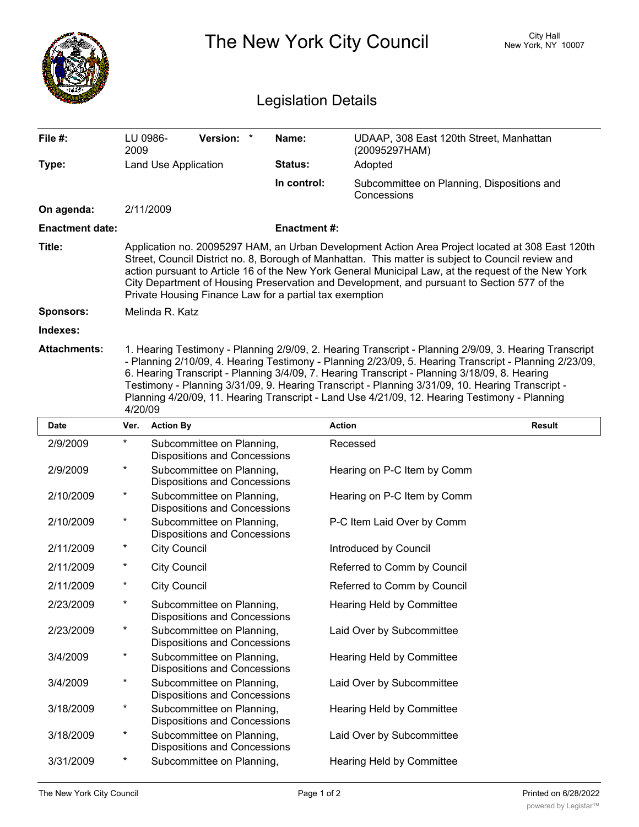|                            |                                                                                                                                                                                                                                                                                                                                                                                                                                                                         | The New York City Council                                        | City Hall<br>New York, NY 10007 |                                                                                                                                                                                                                                                                                                                                                                                                                                                                                                                        |               |  |  |  |
|----------------------------|-------------------------------------------------------------------------------------------------------------------------------------------------------------------------------------------------------------------------------------------------------------------------------------------------------------------------------------------------------------------------------------------------------------------------------------------------------------------------|------------------------------------------------------------------|---------------------------------|------------------------------------------------------------------------------------------------------------------------------------------------------------------------------------------------------------------------------------------------------------------------------------------------------------------------------------------------------------------------------------------------------------------------------------------------------------------------------------------------------------------------|---------------|--|--|--|
| <b>Legislation Details</b> |                                                                                                                                                                                                                                                                                                                                                                                                                                                                         |                                                                  |                                 |                                                                                                                                                                                                                                                                                                                                                                                                                                                                                                                        |               |  |  |  |
| File #:                    | LU 0986-<br>2009                                                                                                                                                                                                                                                                                                                                                                                                                                                        | Version: *                                                       | Name:                           | UDAAP, 308 East 120th Street, Manhattan<br>(20095297HAM)                                                                                                                                                                                                                                                                                                                                                                                                                                                               |               |  |  |  |
| Type:                      |                                                                                                                                                                                                                                                                                                                                                                                                                                                                         | Land Use Application                                             | Status:                         | Adopted                                                                                                                                                                                                                                                                                                                                                                                                                                                                                                                |               |  |  |  |
|                            |                                                                                                                                                                                                                                                                                                                                                                                                                                                                         |                                                                  | In control:                     | Subcommittee on Planning, Dispositions and<br>Concessions                                                                                                                                                                                                                                                                                                                                                                                                                                                              |               |  |  |  |
| On agenda:                 |                                                                                                                                                                                                                                                                                                                                                                                                                                                                         | 2/11/2009                                                        |                                 |                                                                                                                                                                                                                                                                                                                                                                                                                                                                                                                        |               |  |  |  |
| <b>Enactment date:</b>     |                                                                                                                                                                                                                                                                                                                                                                                                                                                                         |                                                                  | <b>Enactment#:</b>              |                                                                                                                                                                                                                                                                                                                                                                                                                                                                                                                        |               |  |  |  |
| Title:                     | Application no. 20095297 HAM, an Urban Development Action Area Project located at 308 East 120th<br>Street, Council District no. 8, Borough of Manhattan. This matter is subject to Council review and<br>action pursuant to Article 16 of the New York General Municipal Law, at the request of the New York<br>City Department of Housing Preservation and Development, and pursuant to Section 577 of the<br>Private Housing Finance Law for a partial tax exemption |                                                                  |                                 |                                                                                                                                                                                                                                                                                                                                                                                                                                                                                                                        |               |  |  |  |
| <b>Sponsors:</b>           |                                                                                                                                                                                                                                                                                                                                                                                                                                                                         | Melinda R. Katz                                                  |                                 |                                                                                                                                                                                                                                                                                                                                                                                                                                                                                                                        |               |  |  |  |
| Indexes:                   |                                                                                                                                                                                                                                                                                                                                                                                                                                                                         |                                                                  |                                 |                                                                                                                                                                                                                                                                                                                                                                                                                                                                                                                        |               |  |  |  |
| <b>Attachments:</b>        | 4/20/09                                                                                                                                                                                                                                                                                                                                                                                                                                                                 |                                                                  |                                 | 1. Hearing Testimony - Planning 2/9/09, 2. Hearing Transcript - Planning 2/9/09, 3. Hearing Transcript<br>- Planning 2/10/09, 4. Hearing Testimony - Planning 2/23/09, 5. Hearing Transcript - Planning 2/23/09,<br>6. Hearing Transcript - Planning 3/4/09, 7. Hearing Transcript - Planning 3/18/09, 8. Hearing<br>Testimony - Planning 3/31/09, 9. Hearing Transcript - Planning 3/31/09, 10. Hearing Transcript -<br>Planning 4/20/09, 11. Hearing Transcript - Land Use 4/21/09, 12. Hearing Testimony - Planning |               |  |  |  |
| <b>Date</b>                | Ver.                                                                                                                                                                                                                                                                                                                                                                                                                                                                    | <b>Action By</b>                                                 |                                 | <b>Action</b>                                                                                                                                                                                                                                                                                                                                                                                                                                                                                                          | <b>Result</b> |  |  |  |
| 2/9/2009                   | $^\star$                                                                                                                                                                                                                                                                                                                                                                                                                                                                | Subcommittee on Planning,<br><b>Dispositions and Concessions</b> |                                 | Recessed                                                                                                                                                                                                                                                                                                                                                                                                                                                                                                               |               |  |  |  |
| 2/9/2009                   | *                                                                                                                                                                                                                                                                                                                                                                                                                                                                       | Subcommittee on Planning,<br><b>Dispositions and Concessions</b> |                                 | Hearing on P-C Item by Comm                                                                                                                                                                                                                                                                                                                                                                                                                                                                                            |               |  |  |  |
| 2/10/2009                  |                                                                                                                                                                                                                                                                                                                                                                                                                                                                         | Subcommittee on Planning,<br>Dispositions and Concessions        |                                 | Hearing on P-C Item by Comm                                                                                                                                                                                                                                                                                                                                                                                                                                                                                            |               |  |  |  |
| 2/10/2009                  | $\ast$                                                                                                                                                                                                                                                                                                                                                                                                                                                                  | Subcommittee on Planning,<br><b>Dispositions and Concessions</b> |                                 | P-C Item Laid Over by Comm                                                                                                                                                                                                                                                                                                                                                                                                                                                                                             |               |  |  |  |
| 2/11/2009                  | $^{\star}$                                                                                                                                                                                                                                                                                                                                                                                                                                                              | <b>City Council</b>                                              |                                 | Introduced by Council                                                                                                                                                                                                                                                                                                                                                                                                                                                                                                  |               |  |  |  |
| 2/11/2009                  | $^{\star}$                                                                                                                                                                                                                                                                                                                                                                                                                                                              | <b>City Council</b>                                              |                                 | Referred to Comm by Council                                                                                                                                                                                                                                                                                                                                                                                                                                                                                            |               |  |  |  |
| 2/11/2009                  | *                                                                                                                                                                                                                                                                                                                                                                                                                                                                       | <b>City Council</b>                                              |                                 | Referred to Comm by Council                                                                                                                                                                                                                                                                                                                                                                                                                                                                                            |               |  |  |  |
| 2/23/2009                  | $\ast$                                                                                                                                                                                                                                                                                                                                                                                                                                                                  | Subcommittee on Planning,<br><b>Dispositions and Concessions</b> |                                 | Hearing Held by Committee                                                                                                                                                                                                                                                                                                                                                                                                                                                                                              |               |  |  |  |
| 2/23/2009                  | $\star$                                                                                                                                                                                                                                                                                                                                                                                                                                                                 | Subcommittee on Planning,<br>Dispositions and Concessions        |                                 | Laid Over by Subcommittee                                                                                                                                                                                                                                                                                                                                                                                                                                                                                              |               |  |  |  |
| 3/4/2009                   | $\star$                                                                                                                                                                                                                                                                                                                                                                                                                                                                 | Subcommittee on Planning,<br>Dispositions and Concessions        |                                 | Hearing Held by Committee                                                                                                                                                                                                                                                                                                                                                                                                                                                                                              |               |  |  |  |
| 3/4/2009                   | $\ast$                                                                                                                                                                                                                                                                                                                                                                                                                                                                  | Subcommittee on Planning,<br>Dispositions and Concessions        |                                 | Laid Over by Subcommittee                                                                                                                                                                                                                                                                                                                                                                                                                                                                                              |               |  |  |  |
| 3/18/2009                  | $\star$                                                                                                                                                                                                                                                                                                                                                                                                                                                                 | Subcommittee on Planning,<br>Dispositions and Concessions        |                                 | Hearing Held by Committee                                                                                                                                                                                                                                                                                                                                                                                                                                                                                              |               |  |  |  |
| 3/18/2009                  | $\ast$                                                                                                                                                                                                                                                                                                                                                                                                                                                                  | Subcommittee on Planning,<br>Dispositions and Concessions        |                                 | Laid Over by Subcommittee                                                                                                                                                                                                                                                                                                                                                                                                                                                                                              |               |  |  |  |
| 3/31/2009                  | $\ast$                                                                                                                                                                                                                                                                                                                                                                                                                                                                  | Subcommittee on Planning,                                        |                                 | Hearing Held by Committee                                                                                                                                                                                                                                                                                                                                                                                                                                                                                              |               |  |  |  |